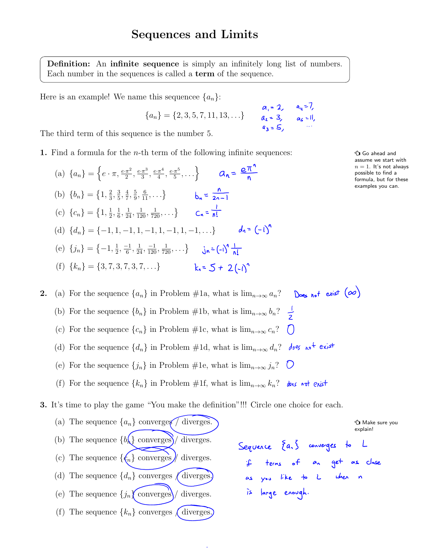Definition: An infinite sequence is simply an infinitely long list of numbers. Each number in the sequences is called a term of the sequence.

Here is an example! We name this sequencee  $\{a_n\}$ :

$$
\{a_n\} = \{2, 3, 5, 7, 11, 13, \ldots\} \qquad \begin{array}{c} a_i = 2, \quad a_{ij} = 7, \\ a_i = 3, \quad a_i = 1, \\ a_i = 5, \end{array}
$$

The third term of this sequence is the number 5.

1. Find a formula for the *n*-th term of the following infinite sequences:  $\mathcal{P}$  Go ahead and

(a)  ${a_n} = \{e \cdot \pi, \frac{e \cdot \pi^2}{2}, \frac{e \cdot \pi^3}{3}, \frac{e \cdot \pi^4}{4}, \frac{e \cdot \pi^5}{5}, \dots\}$ (b)  $\{b_n\} = \{1, \frac{2}{3}, \frac{3}{5}, \frac{4}{7}, \frac{5}{9}, \frac{6}{11}, \ldots\}$ (c)  ${c_n} = {1, \frac{1}{2}, \frac{1}{6}, \frac{1}{24}, \frac{1}{120}, \frac{1}{720}, \dots}$ (d)  ${d_n} = {-1, 1, -1, 1, -1, 1, -1, 1, -1, \ldots}$   ${d_1} = {\left( -1 \right)}^n$ (e)  $\{j_n\} = \{-1, \frac{1}{2}, \frac{-1}{6}, \frac{1}{24}, \frac{-1}{120}, \frac{1}{720}, \dots\}$ (f)  ${k_n} = {3, 7, 3, 7, 3, 7, ...}$   ${k_n = 5 + 2(-1)}^n$ 

assume we start with  $n = 1$ . It's not always possible to find a formula, but for these examples you can.

2. (a) For the sequence  $\{a_n\}$  in Problem #1a, what is  $\lim_{n\to\infty} a_n$ ? Does not exist  $(\infty)$ (b) For the sequence  ${b_n}$  in Problem #1b, what is  $\lim_{n\to\infty} b_n$ ? (c) For the sequence  $\{c_n\}$  in Problem #1c, what is  $\lim_{n\to\infty} c_n$ ? (d) For the sequence  $\{d_n\}$  in Problem #1d, what is  $\lim_{n\to\infty} d_n$ ?  $\partial_{\theta}e_{\theta}$  of exist (e) For the sequence  $\{j_n\}$  in Problem #1e, what is  $\lim_{n\to\infty} j_n$ ?  $\bigcirc$ (f) For the sequence  $\{k_n\}$  in Problem #1f, what is  $\lim_{n\to\infty} k_n$ ? des ent exist

3. It's time to play the game "You make the definition"!!! Circle one choice for each.